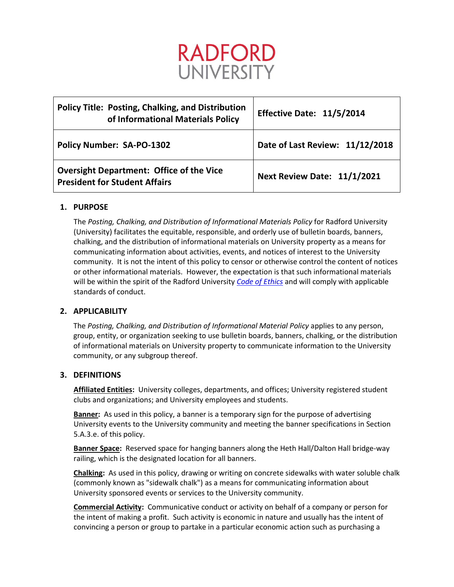

| <b>Policy Title: Posting, Chalking, and Distribution</b><br>of Informational Materials Policy | Effective Date: 11/5/2014          |
|-----------------------------------------------------------------------------------------------|------------------------------------|
| <b>Policy Number: SA-PO-1302</b>                                                              | Date of Last Review: 11/12/2018    |
| <b>Oversight Department: Office of the Vice</b><br><b>President for Student Affairs</b>       | <b>Next Review Date: 11/1/2021</b> |

# **1. PURPOSE**

The *Posting, Chalking, and Distribution of Informational Materials Policy* for Radford University (University) facilitates the equitable, responsible, and orderly use of bulletin boards, banners, chalking, and the distribution of informational materials on University property as a means for communicating information about activities, events, and notices of interest to the University community. It is not the intent of this policy to censor or otherwise control the content of notices or other informational materials. However, the expectation is that such informational materials will be within the spirit of the Radford University *[Code of Ethics](http://www.radford.edu/content/radfordcore/home/about/code-of-ethics.html)* and will comply with applicable standards of conduct.

## **2. APPLICABILITY**

The *Posting, Chalking, and Distribution of Informational Material Policy* applies to any person, group, entity, or organization seeking to use bulletin boards, banners, chalking, or the distribution of informational materials on University property to communicate information to the University community, or any subgroup thereof.

## **3. DEFINITIONS**

**Affiliated Entities:** University colleges, departments, and offices; University registered student clubs and organizations; and University employees and students.

**Banner:** As used in this policy, a banner is a temporary sign for the purpose of advertising University events to the University community and meeting the banner specifications in Section 5.A.3.e. of this policy.

**Banner Space:** Reserved space for hanging banners along the Heth Hall/Dalton Hall bridge-way railing, which is the designated location for all banners.

**Chalking:** As used in this policy, drawing or writing on concrete sidewalks with water soluble chalk (commonly known as "sidewalk chalk") as a means for communicating information about University sponsored events or services to the University community.

**Commercial Activity:** Communicative conduct or activity on behalf of a company or person for the intent of making a profit. Such activity is economic in nature and usually has the intent of convincing a person or group to partake in a particular economic action such as purchasing a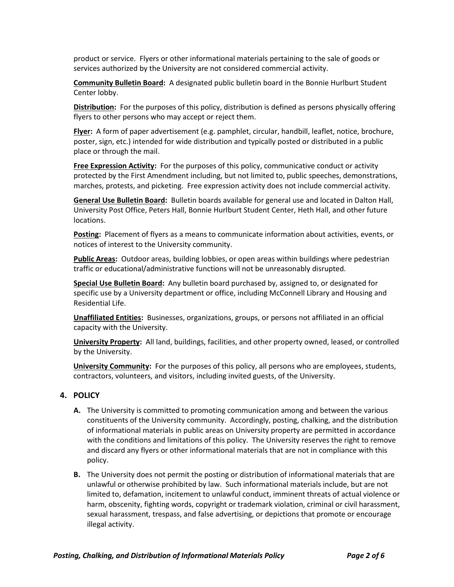product or service. Flyers or other informational materials pertaining to the sale of goods or services authorized by the University are not considered commercial activity.

**Community Bulletin Board:** A designated public bulletin board in the Bonnie Hurlburt Student Center lobby.

**Distribution:** For the purposes of this policy, distribution is defined as persons physically offering flyers to other persons who may accept or reject them.

**Flyer:** A form o[f paper](http://en.wikipedia.org/wiki/Paper) [advertisement](http://en.wikipedia.org/wiki/Advertisement) (e.g. pamphlet, circular, handbill, leaflet, notice, brochure, poster, sign, etc.) intended for wide distribution and typically posted or distributed in a public place or through the mail.

**Free Expression Activity:** For the purposes of this policy, communicative conduct or activity protected by the First Amendment including, but not limited to, public speeches, demonstrations, marches, protests, and picketing. Free expression activity does not include commercial activity.

**General Use Bulletin Board:** Bulletin boards available for general use and located in Dalton Hall, University Post Office, Peters Hall, Bonnie Hurlburt Student Center, Heth Hall, and other future locations.

**Posting:** Placement of flyers as a means to communicate information about activities, events, or notices of interest to the University community.

**Public Areas:** Outdoor areas, building lobbies, or open areas within buildings where pedestrian traffic or educational/administrative functions will not be unreasonably disrupted.

**Special Use Bulletin Board:** Any bulletin board purchased by, assigned to, or designated for specific use by a University department or office, including McConnell Library and Housing and Residential Life.

**Unaffiliated Entities:** Businesses, organizations, groups, or persons not affiliated in an official capacity with the University.

**University Property:** All land, buildings, facilities, and other property owned, leased, or controlled by the University.

**University Community:** For the purposes of this policy, all persons who are employees, students, contractors, volunteers, and visitors, including invited guests, of the University.

### **4. POLICY**

- **A.** The University is committed to promoting communication among and between the various constituents of the University community. Accordingly, posting, chalking, and the distribution of informational materials in public areas on University property are permitted in accordance with the conditions and limitations of this policy. The University reserves the right to remove and discard any flyers or other informational materials that are not in compliance with this policy.
- **B.** The University does not permit the posting or distribution of informational materials that are unlawful or otherwise prohibited by law. Such informational materials include, but are not limited to, defamation, incitement to unlawful conduct, imminent threats of actual violence or harm, obscenity, fighting words, copyright or trademark violation, criminal or civil harassment, sexual harassment, trespass, and false advertising, or depictions that promote or encourage illegal activity.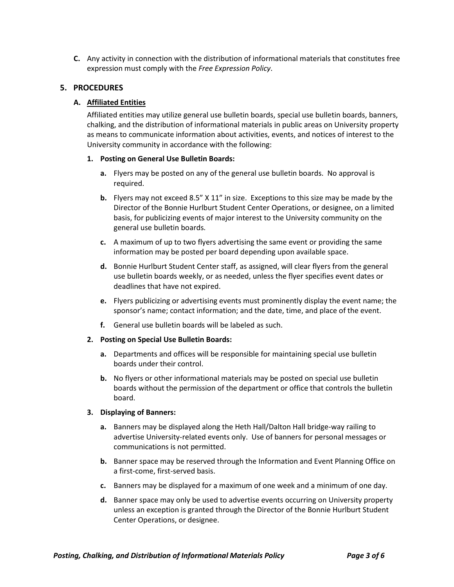**C.** Any activity in connection with the distribution of informational materials that constitutes free expression must comply with the *Free Expression Policy*.

## **5. PROCEDURES**

### **A. Affiliated Entities**

Affiliated entities may utilize general use bulletin boards, special use bulletin boards, banners, chalking, and the distribution of informational materials in public areas on University property as means to communicate information about activities, events, and notices of interest to the University community in accordance with the following:

### **1. Posting on General Use Bulletin Boards:**

- **a.** Flyers may be posted on any of the general use bulletin boards. No approval is required.
- **b.** Flyers may not exceed 8.5" X 11" in size. Exceptions to this size may be made by the Director of the Bonnie Hurlburt Student Center Operations, or designee, on a limited basis, for publicizing events of major interest to the University community on the general use bulletin boards.
- **c.** A maximum of up to two flyers advertising the same event or providing the same information may be posted per board depending upon available space.
- **d.** Bonnie Hurlburt Student Center staff, as assigned, will clear flyers from the general use bulletin boards weekly, or as needed, unless the flyer specifies event dates or deadlines that have not expired.
- **e.** Flyers publicizing or advertising events must prominently display the event name; the sponsor's name; contact information; and the date, time, and place of the event.
- **f.** General use bulletin boards will be labeled as such.

#### **2. Posting on Special Use Bulletin Boards:**

- **a.** Departments and offices will be responsible for maintaining special use bulletin boards under their control.
- **b.** No flyers or other informational materials may be posted on special use bulletin boards without the permission of the department or office that controls the bulletin board.

### **3. Displaying of Banners:**

- **a.** Banners may be displayed along the Heth Hall/Dalton Hall bridge-way railing to advertise University-related events only. Use of banners for personal messages or communications is not permitted.
- **b.** Banner space may be reserved through the Information and Event Planning Office on a first-come, first-served basis.
- **c.** Banners may be displayed for a maximum of one week and a minimum of one day.
- **d.** Banner space may only be used to advertise events occurring on University property unless an exception is granted through the Director of the Bonnie Hurlburt Student Center Operations, or designee.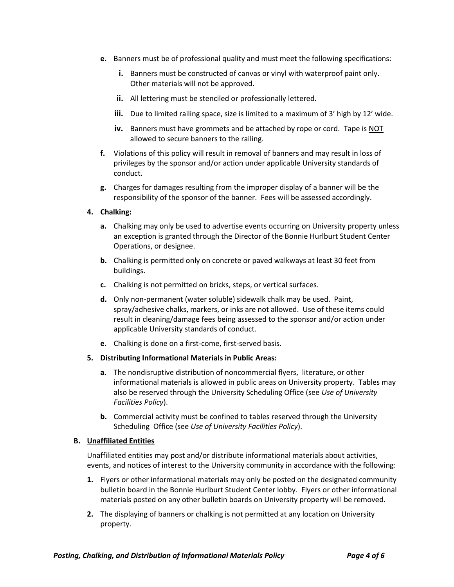- **e.** Banners must be of professional quality and must meet the following specifications:
	- **i.** Banners must be constructed of canvas or vinyl with waterproof paint only. Other materials will not be approved.
	- **ii.** All lettering must be stenciled or professionally lettered.
	- **iii.** Due to limited railing space, size is limited to a maximum of 3' high by 12' wide.
	- **iv.** Banners must have grommets and be attached by rope or cord. Tape is NOT allowed to secure banners to the railing.
- **f.** Violations of this policy will result in removal of banners and may result in loss of privileges by the sponsor and/or action under applicable University standards of conduct.
- **g.** Charges for damages resulting from the improper display of a banner will be the responsibility of the sponsor of the banner. Fees will be assessed accordingly.
- **4. Chalking:**
	- **a.** Chalking may only be used to advertise events occurring on University property unless an exception is granted through the Director of the Bonnie Hurlburt Student Center Operations, or designee.
	- **b.** Chalking is permitted only on concrete or paved walkways at least 30 feet from buildings.
	- **c.** Chalking is not permitted on bricks, steps, or vertical surfaces.
	- **d.** Only non-permanent (water soluble) sidewalk chalk may be used. Paint, spray/adhesive chalks, markers, or inks are not allowed. Use of these items could result in cleaning/damage fees being assessed to the sponsor and/or action under applicable University standards of conduct.
	- **e.** Chalking is done on a first-come, first-served basis.

#### **5. Distributing Informational Materials in Public Areas:**

- **a.** The nondisruptive distribution of noncommercial flyers, literature, or other informational materials is allowed in public areas on University property. Tables may also be reserved through the University Scheduling Office (see *Use of University Facilities Policy*).
- **b.** Commercial activity must be confined to tables reserved through the University Scheduling Office (see *Use of University Facilities Policy*).

#### **B. Unaffiliated Entities**

Unaffiliated entities may post and/or distribute informational materials about activities, events, and notices of interest to the University community in accordance with the following:

- **1.** Flyers or other informational materials may only be posted on the designated community bulletin board in the Bonnie Hurlburt Student Center lobby. Flyers or other informational materials posted on any other bulletin boards on University property will be removed.
- **2.** The displaying of banners or chalking is not permitted at any location on University property.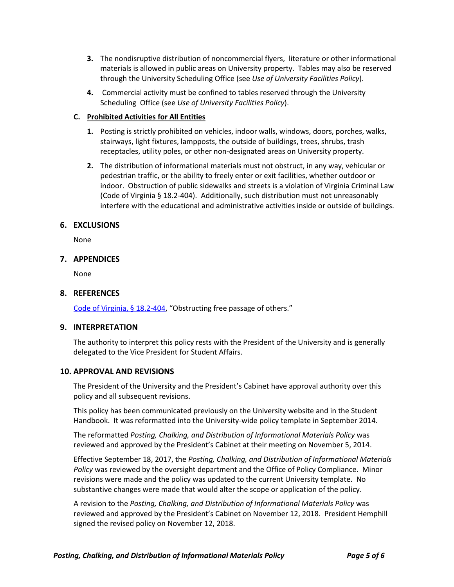- **3.** The nondisruptive distribution of noncommercial flyers, literature or other informational materials is allowed in public areas on University property. Tables may also be reserved through the University Scheduling Office (see *Use of University Facilities Policy*).
- **4.** Commercial activity must be confined to tables reserved through the University Scheduling Office (see *Use of University Facilities Policy*).

## **C. Prohibited Activities for All Entities**

- **1.** Posting is strictly prohibited on vehicles, indoor walls, windows, doors, porches, walks, stairways, light fixtures, lampposts, the outside of buildings, trees, shrubs, trash receptacles, utility poles, or other non-designated areas on University property.
- **2.** The distribution of informational materials must not obstruct, in any way, vehicular or pedestrian traffic, or the ability to freely enter or exit facilities, whether outdoor or indoor. Obstruction of public sidewalks and streets is a violation of Virginia Criminal Law (Code of Virginia § 18.2-404). Additionally, such distribution must not unreasonably interfere with the educational and administrative activities inside or outside of buildings.

## **6. EXCLUSIONS**

None

## **7. APPENDICES**

None

## **8. REFERENCES**

[Code of Virginia, § 18.2-404](http://law.lis.virginia.gov/vacode/title18.2/chapter9/section18.2-404/), "Obstructing free passage of others."

### **9. INTERPRETATION**

The authority to interpret this policy rests with the President of the University and is generally delegated to the Vice President for Student Affairs.

### **10. APPROVAL AND REVISIONS**

The President of the University and the President's Cabinet have approval authority over this policy and all subsequent revisions.

This policy has been communicated previously on the University website and in the Student Handbook. It was reformatted into the University-wide policy template in September 2014.

The reformatted *Posting, Chalking, and Distribution of Informational Materials Policy* was reviewed and approved by the President's Cabinet at their meeting on November 5, 2014.

Effective September 18, 2017, the *Posting, Chalking, and Distribution of Informational Materials Policy* was reviewed by the oversight department and the Office of Policy Compliance. Minor revisions were made and the policy was updated to the current University template. No substantive changes were made that would alter the scope or application of the policy.

A revision to the *Posting, Chalking, and Distribution of Informational Materials Policy* was reviewed and approved by the President's Cabinet on November 12, 2018. President Hemphill signed the revised policy on November 12, 2018.